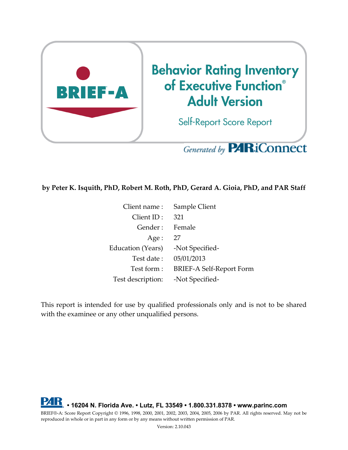

# Generated by **PARiConnect**

#### **by Peter K. Isquith, PhD, Robert M. Roth, PhD, Gerard A. Gioia, PhD, and PAR Staff**

| Client name:      | Sample Client            |
|-------------------|--------------------------|
| Client ID:        | 321                      |
| Gender:           | Female                   |
| Age:              | 27                       |
| Education (Years) | -Not Specified-          |
| Test date:        | 05/01/2013               |
| Test form:        | BRIEF-A Self-Report Form |
| Test description: | -Not Specified-          |

This report is intended for use by qualified professionals only and is not to be shared with the examinee or any other unqualified persons.

**• 16204 N. Florida Ave. • Lutz, FL 33549 • 1.800.331.8378 • www.parinc.com** BRIEF®-A: Score Report Copyright © 1996, 1998, 2000, 2001, 2002, 2003, 2004, 2005, 2006 by PAR. All rights reserved. May not be reproduced in whole or in part in any form or by any means without written permission of PAR.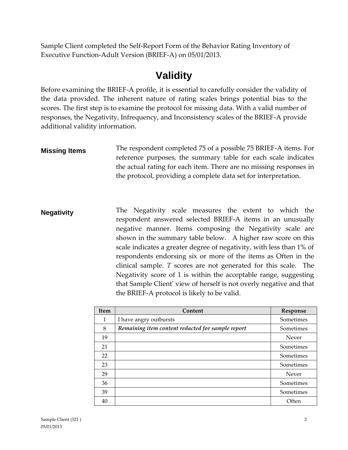Sample Client completed the Self-Report Form of the Behavior Rating Inventory of Executive Function-Adult Version (BRIEF-A) on 05/01/2013.

### **Validity**

Before examining the BRIEF-A profile, it is essential to carefully consider the validity of the data provided. The inherent nature of rating scales brings potential bias to the scores. The first step is to examine the protocol for missing data. With a valid number of responses, the Negativity, Infrequency, and Inconsistency scales of the BRIEF-A provide additional validity information.

- **Missing Items** The respondent completed 75 of a possible 75 BRIEF-A items. For reference purposes, the summary table for each scale indicates the actual rating for each item. There are no missing responses in the protocol, providing a complete data set for interpretation.
- **Negativity** The Negativity scale measures the extent to which the respondent answered selected BRIEF-A items in an unusually negative manner. Items composing the Negativity scale are shown in the summary table below. A higher raw score on this scale indicates a greater degree of negativity, with less than 1% of respondents endorsing six or more of the items as Often in the clinical sample. *T* scores are not generated for this scale. The Negativity score of 1 is within the acceptable range, suggesting that Sample Client' view of herself is not overly negative and that the BRIEF-A protocol is likely to be valid.

| <b>Item</b> | Content                                           | Response  |
|-------------|---------------------------------------------------|-----------|
| 1           | I have angry outbursts                            | Sometimes |
| 8           | Remaining item content redacted for sample report | Sometimes |
| 19          |                                                   | Never     |
| 21          |                                                   | Sometimes |
| 22          |                                                   | Sometimes |
| 23          |                                                   | Sometimes |
| 29          |                                                   | Never     |
| 36          |                                                   | Sometimes |
| 39          |                                                   | Sometimes |
| 40          |                                                   | Often     |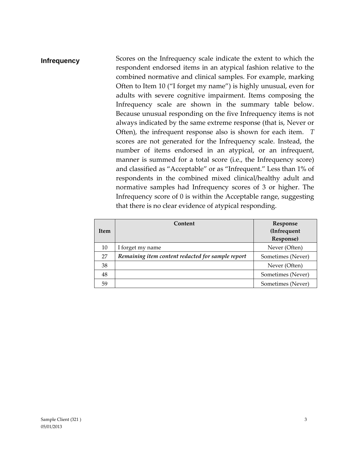### **Infrequency** Scores on the Infrequency scale indicate the extent to which the respondent endorsed items in an atypical fashion relative to the combined normative and clinical samples. For example, marking Often to Item 10 ("I forget my name") is highly unusual, even for adults with severe cognitive impairment. Items composing the Infrequency scale are shown in the summary table below. Because unusual responding on the five Infrequency items is not always indicated by the same extreme response (that is, Never or Often), the infrequent response also is shown for each item. *T* scores are not generated for the Infrequency scale. Instead, the number of items endorsed in an atypical, or an infrequent, manner is summed for a total score (i.e., the Infrequency score) and classified as "Acceptable" or as "Infrequent." Less than 1% of respondents in the combined mixed clinical/healthy adult and normative samples had Infrequency scores of 3 or higher. The Infrequency score of 0 is within the Acceptable range, suggesting that there is no clear evidence of atypical responding.

|      | Content                                           | Response          |
|------|---------------------------------------------------|-------------------|
| Item |                                                   | (Infrequent       |
|      |                                                   | Response)         |
| 10   | I forget my name                                  | Never (Often)     |
| 27   | Remaining item content redacted for sample report | Sometimes (Never) |
| 38   |                                                   | Never (Often)     |
| 48   |                                                   | Sometimes (Never) |
| 59   |                                                   | Sometimes (Never) |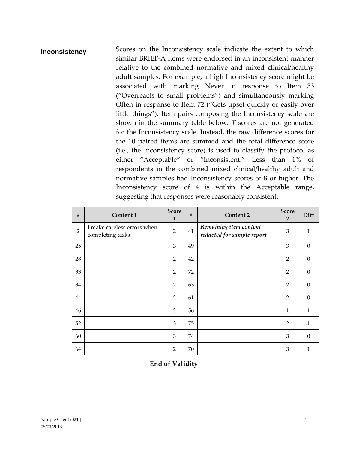**Inconsistency** Scores on the Inconsistency scale indicate the extent to which similar BRIEF-A items were endorsed in an inconsistent manner relative to the combined normative and mixed clinical/healthy adult samples. For example, a high Inconsistency score might be associated with marking Never in response to Item 33 ("Overreacts to small problems") and simultaneously marking Often in response to Item 72 ("Gets upset quickly or easily over little things"). Item pairs composing the Inconsistency scale are shown in the summary table below. *T* scores are not generated for the Inconsistency scale. Instead, the raw difference scores for the 10 paired items are summed and the total difference score (i.e., the Inconsistency score) is used to classify the protocol as either "Acceptable" or "Inconsistent." Less than 1% of respondents in the combined mixed clinical/healthy adult and normative samples had Inconsistency scores of 8 or higher. The Inconsistency score of 4 is within the Acceptable range, suggesting that responses were reasonably consistent.

| $\#$           | Content 1                                       | <b>Score</b><br>$\mathbf{1}$ | $\#$ | <b>Content 2</b>                                     | <b>Score</b><br>$\overline{2}$ | Diff             |
|----------------|-------------------------------------------------|------------------------------|------|------------------------------------------------------|--------------------------------|------------------|
| $\overline{2}$ | I make careless errors when<br>completing tasks | $\overline{2}$               | 41   | Remaining item content<br>redacted for sample report | 3                              | $\mathbf{1}$     |
| 25             |                                                 | 3                            | 49   |                                                      | 3                              | $\theta$         |
| 28             |                                                 | $\overline{2}$               | 42   |                                                      | $\overline{2}$                 | $\theta$         |
| 33             |                                                 | $\overline{2}$               | 72   |                                                      | $\overline{2}$                 | $\theta$         |
| 34             |                                                 | $\overline{2}$               | 63   |                                                      | $\overline{2}$                 | $\boldsymbol{0}$ |
| 44             |                                                 | $\overline{2}$               | 61   |                                                      | $\overline{2}$                 | $\theta$         |
| 46             |                                                 | $\overline{2}$               | 56   |                                                      | $\mathbf{1}$                   | 1                |
| 52             |                                                 | 3                            | 75   |                                                      | $\overline{2}$                 | 1                |
| 60             |                                                 | 3                            | 74   |                                                      | 3                              | $\theta$         |
| 64             |                                                 | $\overline{2}$               | 70   |                                                      | 3                              | 1                |

**End of Validity**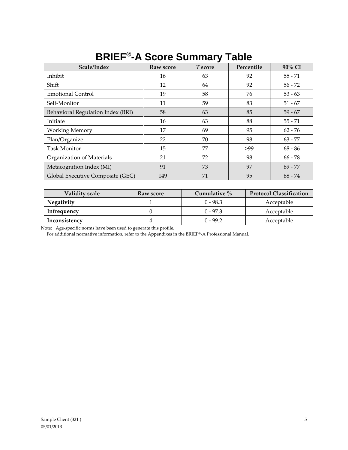| Scale/Index                       | Raw score | T score | Percentile | 90% CI    |
|-----------------------------------|-----------|---------|------------|-----------|
| Inhibit                           | 16        | 63      | 92         | $55 - 71$ |
| Shift                             | 12        | 64      | 92         | $56 - 72$ |
| <b>Emotional Control</b>          | 19        | 58      | 76         | $53 - 63$ |
| Self-Monitor                      | 11        | 59      | 83         | $51 - 67$ |
| Behavioral Regulation Index (BRI) | 58        | 63      | 85         | $59 - 67$ |
| Initiate                          | 16        | 63      | 88         | $55 - 71$ |
| <b>Working Memory</b>             | 17        | 69      | 95         | $62 - 76$ |
| Plan/Organize                     | 22        | 70      | 98         | $63 - 77$ |
| <b>Task Monitor</b>               | 15        | 77      | >99        | $68 - 86$ |
| Organization of Materials         | 21        | 72      | 98         | $66 - 78$ |
| Metacognition Index (MI)          | 91        | 73      | 97         | $69 - 77$ |
| Global Executive Composite (GEC)  | 149       | 71      | 95         | $68 - 74$ |

### **BRIEF® -A Score Summary Table**

| Validity scale    | Raw score | Cumulative $\%$ | <b>Protocol Classification</b> |
|-------------------|-----------|-----------------|--------------------------------|
| <b>Negativity</b> |           | 0 - 98.3        | Acceptable                     |
| Infrequency       |           | $0 - 97.3$      | Acceptable                     |
| Inconsistency     |           | 0 - 99.2        | Acceptable                     |

Note: Age-specific norms have been used to generate this profile.

For additional normative information, refer to the Appendixes in the BRIEF®-A Professional Manual.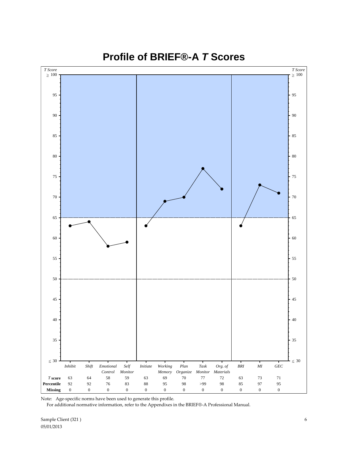

**Profile of BRIEF®-A** *T* **Scores**

Note: Age-specific norms have been used to generate this profile.

For additional normative information, refer to the Appendixes in the BRIEF®-A Professional Manual.